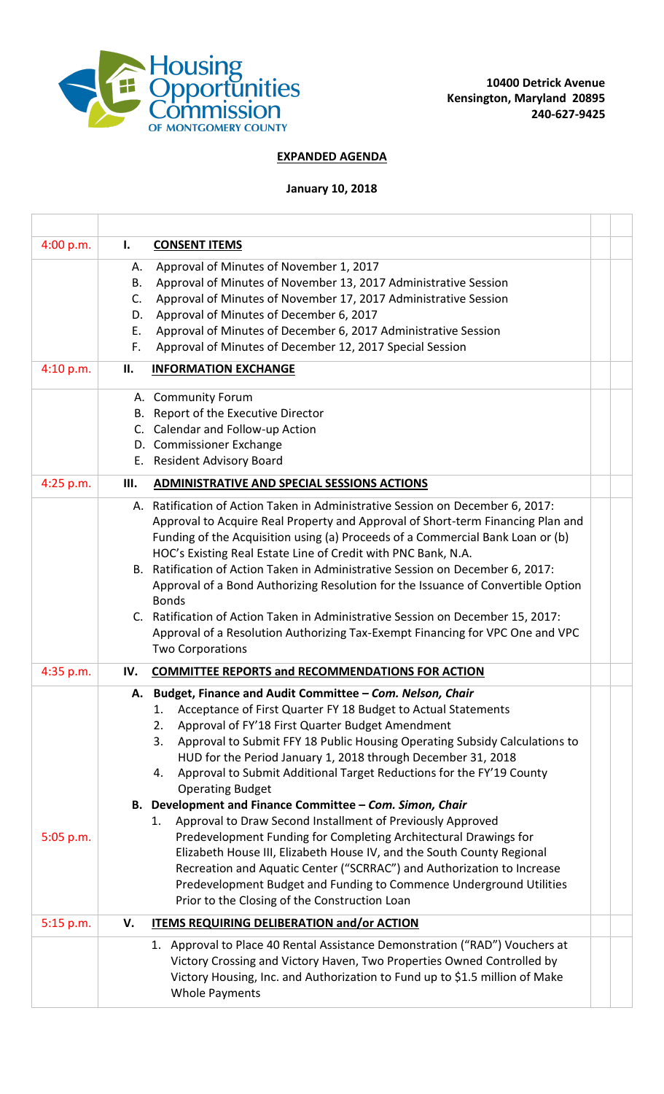

## **EXPANDED AGENDA**

## **January 10, 2018**

| 4:00 p.m.   | I.  | <b>CONSENT ITEMS</b>                                                                                                                            |  |
|-------------|-----|-------------------------------------------------------------------------------------------------------------------------------------------------|--|
|             | А.  | Approval of Minutes of November 1, 2017                                                                                                         |  |
|             | В.  | Approval of Minutes of November 13, 2017 Administrative Session                                                                                 |  |
|             | C.  | Approval of Minutes of November 17, 2017 Administrative Session                                                                                 |  |
|             | D.  | Approval of Minutes of December 6, 2017                                                                                                         |  |
|             | Е.  | Approval of Minutes of December 6, 2017 Administrative Session                                                                                  |  |
|             | F.  | Approval of Minutes of December 12, 2017 Special Session                                                                                        |  |
| 4:10 p.m.   | П.  | <b>INFORMATION EXCHANGE</b>                                                                                                                     |  |
|             |     | A. Community Forum                                                                                                                              |  |
|             |     | B. Report of the Executive Director                                                                                                             |  |
|             |     | C. Calendar and Follow-up Action                                                                                                                |  |
|             |     | D. Commissioner Exchange<br>E. Resident Advisory Board                                                                                          |  |
|             |     |                                                                                                                                                 |  |
| 4:25 p.m.   | Ш.  | ADMINISTRATIVE AND SPECIAL SESSIONS ACTIONS                                                                                                     |  |
|             |     | A. Ratification of Action Taken in Administrative Session on December 6, 2017:                                                                  |  |
|             |     | Approval to Acquire Real Property and Approval of Short-term Financing Plan and                                                                 |  |
|             |     | Funding of the Acquisition using (a) Proceeds of a Commercial Bank Loan or (b)<br>HOC's Existing Real Estate Line of Credit with PNC Bank, N.A. |  |
|             |     | B. Ratification of Action Taken in Administrative Session on December 6, 2017:                                                                  |  |
|             |     | Approval of a Bond Authorizing Resolution for the Issuance of Convertible Option                                                                |  |
|             |     | <b>Bonds</b>                                                                                                                                    |  |
|             |     | C. Ratification of Action Taken in Administrative Session on December 15, 2017:                                                                 |  |
|             |     | Approval of a Resolution Authorizing Tax-Exempt Financing for VPC One and VPC                                                                   |  |
|             |     | <b>Two Corporations</b>                                                                                                                         |  |
| 4:35 p.m.   | IV. | <b>COMMITTEE REPORTS and RECOMMENDATIONS FOR ACTION</b>                                                                                         |  |
|             |     | A. Budget, Finance and Audit Committee - Com. Nelson, Chair                                                                                     |  |
|             |     | Acceptance of First Quarter FY 18 Budget to Actual Statements<br>1.                                                                             |  |
|             |     | 2.<br>Approval of FY'18 First Quarter Budget Amendment<br>3.                                                                                    |  |
|             |     | Approval to Submit FFY 18 Public Housing Operating Subsidy Calculations to<br>HUD for the Period January 1, 2018 through December 31, 2018      |  |
|             |     | Approval to Submit Additional Target Reductions for the FY'19 County<br>4.                                                                      |  |
|             |     | <b>Operating Budget</b>                                                                                                                         |  |
|             |     | B. Development and Finance Committee - Com. Simon, Chair                                                                                        |  |
|             |     | Approval to Draw Second Installment of Previously Approved<br>1.                                                                                |  |
| 5:05 p.m.   |     | Predevelopment Funding for Completing Architectural Drawings for                                                                                |  |
|             |     | Elizabeth House III, Elizabeth House IV, and the South County Regional                                                                          |  |
|             |     | Recreation and Aquatic Center ("SCRRAC") and Authorization to Increase                                                                          |  |
|             |     | Predevelopment Budget and Funding to Commence Underground Utilities<br>Prior to the Closing of the Construction Loan                            |  |
| $5:15$ p.m. | V.  | <b>ITEMS REQUIRING DELIBERATION and/or ACTION</b>                                                                                               |  |
|             |     | 1. Approval to Place 40 Rental Assistance Demonstration ("RAD") Vouchers at                                                                     |  |
|             |     | Victory Crossing and Victory Haven, Two Properties Owned Controlled by                                                                          |  |
|             |     | Victory Housing, Inc. and Authorization to Fund up to \$1.5 million of Make                                                                     |  |
|             |     | <b>Whole Payments</b>                                                                                                                           |  |